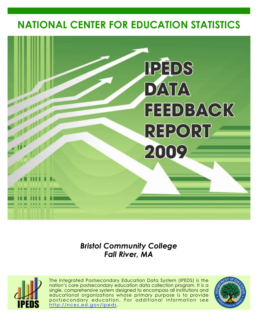# **NATIONAL CENTER FOR EDUCATION STATISTICS**



*Bristol Community College Fall River, MA*



The Integrated Postsecondary Education Data System (IPEDS) is the nation's core postsecondary education data collection program. It is a single, comprehensive system designed to encompass all institutions and educational organizations whose primary purpose is to provide postsecondary education. For additional information see <http://nces.ed.gov/ipeds>.

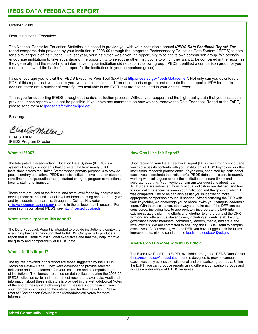#### October, 2009

Dear Institutional Executive:

The National Center for Education Statistics is pleased to provide you with your institution's annual *IPEDS Data Feedback Report*. The report compares data provided by your institution in 2008-09 through the Integrated Postsecondary Education Data System (IPEDS) to data for a similar group of institutions. Like last year, your institution was given the opportunity to select its own comparison group. We strongly encourage institutions to take advantage of the opportunity to select the other institutions to which they want to be compared in the report, as they generally find the report more informative. If your institution did not submit its own group, IPEDS identified a comparison group for you (see the list toward the back of this report for the institutions in your comparison group).

I also encourage you to visit the IPEDS Executive Peer Tool (ExPT) at <http://nces.ed.gov/ipeds/datacenter/>. Not only can you download a PDF of this report as it was sent to you, you can also select a different comparison group and recreate the full report in PDF format. In addition, there are a number of extra figures available in the ExPT that are not included in your original report.

Thank you for supporting IPEDS throughout the data collection process. Without your support and the high quality data that your institution provides, these reports would not be possible. If you have any comments on how we can improve the Data Feedback Report or the ExPT, please send them to ipedsdatafeedback@ed.gov.

Best regards,

Clist S. Miller

Elise S. Miller IPEDS Program Director

# **What Is IPEDS?**

The Integrated Postsecondary Education Data System (IPEDS) is a system of survey components that collects data from nearly 6,700 institutions across the United States whose primary purpose is to provide postsecondary education. IPEDS collects institution-level data on students (enrollment and graduation rates), student charges, program completions, faculty, staff, and finances.

These data are used at the federal and state level for policy analysis and development; at the institutional level for benchmarking and peer analysis; and by students and parents, through the College Navigator [\(http://collegenavigator.ed.gov\)](http://collegenavigator.ed.gov), to aid in the college search process. For more information about IPEDS, see [http://nces.ed.gov/ipeds.](http://nces.ed.gov/ipeds)

# **What Is the Purpose of This Report?**

The Data Feedback Report is intended to provide institutions a context for examining the data they submitted to IPEDS. Our goal is to produce a report that is useful to institutional executives and that may help improve the quality and comparability of IPEDS data.

# **What Is in This Report?**

The figures provided in this report are those suggested by the IPEDS Technical Review Panel. They were developed to provide selected indicators and data elements for your institution and a comparison group of institutions. The figures are based on data collected during the 2008-09 IPEDS collection cycle and are the most recent data available. Additional information about these indicators is provided in the Methodological Notes at the end of the report. Following the figures is a list of the institutions in your comparison group and the criteria used for their selection. Please refer to "Comparison Group" in the Methodological Notes for more information.

# **How Can I Use This Report?**

Upon receiving your Data Feedback Report (DFR), we strongly encourage you to discuss its contents with your institution's IPEDS keyholder, or other institutional research professionals. Keyholders, appointed by institutional executives, coordinate the institution's IPEDS data submission, frequently working with colleagues across the institution to ensure timely and accurate reporting. Your keyholder can answer questions about how IPEDS data are submitted, how individual indicators are defined, and how to interpret differences between your institution and the group to which it was compared. She or he can also assist you in identifying more appropriate comparison groups, if needed. After discussing the DFR with your keyholder, we encourage you to share it with your campus leadership team. With their assistance, other ways to make use of the DFR can be considered, including how to appropriately incorporate the DFR into existing strategic planning efforts and whether to share parts of the DFR with on- and off-campus stakeholders, including students, staff, faculty, governance board members, community leaders, media, and state and local officials. We are committed to ensuring the DFR is useful to campus executives. If after working with the DFR you have suggestions for future improvements, please send them to ipedsdatafeedback@ed.gov.

#### **Where Can I Do More with IPEDS Data?**

The Executive Peer Tool (ExPT), available through the IPEDS Data Center [\(http://nces.ed.gov/ipeds/datacenter](http://nces.ed.gov/ipeds/datacenter)), is designed to provide campus executives easy access to institutional and comparison group data. Using the ExPT, you can produce reports using different comparison groups and access a wider range of IPEDS variables.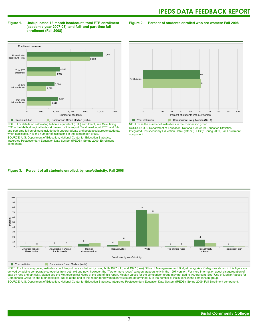#### **Figure 1. Unduplicated 12-month headcount, total FTE enrollment (academic year 2007-08), and full- and part-time fall enrollment (Fall 2008)**

**Figure 2. Percent of students enrolled who are women: Fall 2008**



NOTE: For details on calculating full-time equivalent (FTE) enrollment, see Calculating FTE in the Methodological Notes at the end of this report. Total headcount, FTE, and fulland part-time fall enrollment include both undergraduate and postbaccalaureate students, when applicable. N is the number of institutions in the comparison group. SOURCE: U.S. Department of Education, National Center for Education Statistics, Integrated Postsecondary Education Data System (IPEDS): Spring 2009, Enrollment component.



NOTE: N is the number of institutions in the comparison group. SOURCE: U.S. Department of Education, National Center for Education Statistics, Integrated Postsecondary Education Data System (IPEDS): Spring 2009, Fall Enrollment component.

# **Figure 3. Percent of all students enrolled, by race/ethnicity: Fall 2008**



**The Comparison Group Median (N=14)** Comparison Group Median (N=14)

NOTE: For this survey year, institutions could report race and ethnicity using both 1977 (old) and 1997 (new) Office of Management and Budget categories. Categories shown in this figure are derived by adding comparable categories from both old and new; however, the "Two or more races" category appears only in the 1997 version. For more information about disaggregation of data by race and ethnicity, please see the Methodological Notes at the end of this report. Median values for the comparison group may not add to 100 percent. See "Use of Median Values for Comparison Group" in the Methodological Notes at the end of this report for how median values are determined. N is the number of institutions in the comparison group. SOURCE: U.S. Department of Education, National Center for Education Statistics, Integrated Postsecondary Education Data System (IPEDS): Spring 2009, Fall Enrollment component.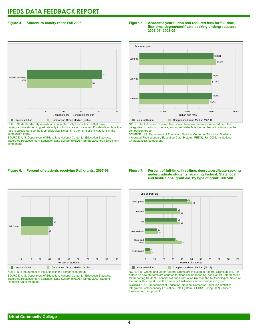# **Figure 4. Student-to-faculty ratio: Fall 2008**

# 0 5 10 15 20 25 FTE students per FTE instructional staff Student-to-faculty ratio 18 21 **Your institution** Comparison Group Median (N=14)

NOTE: Student-to-faculty ratio data is presented only for institutions that have undergraduate students; graduate only institutions are not included. For details on how the ratio is calculated, see the Methodological Notes. N is the number of institutions in the comparison group.

SOURCE: U.S. Department of Education, National Center for Education Statistics, Integrated Postsecondary Education Data System (IPEDS): Spring 2009, Fall Enrollment component.

### **Figure 5. Academic year tuition and required fees for full-time, first-time, degree/certificate-seeking undergraduates: 2006-07–2008-09**



NOTE: The tuition and required fees shown here are the lowest reported from the categories of in-district, in-state, and out-of-state. N is the number of institutions in the comparison group.

SOURCE: U.S. Department of Education, National Center for Education Statistics, Integrated Postsecondary Education Data System (IPEDS): Fall 2008, Institutional Characteristics component.

# **Figure 6. Percent of students receiving Pell grants: 2007-08**



Your institution Comparison Group Median (N=14) NOTE: N is the number of institutions in the comparison group.

SOURCE: U.S. Department of Education, National Center for Education Statistics, Integrated Postsecondary Education Data System (IPEDS): Spring 2009, Student Financial Aid component.

#### **Figure 7. Percent of full-time, first-time, degree/certificate-seeking undergraduate students receiving Federal, State/local, and Institutional grant aid, by type of grant: 2007-08**



NOTE: Pell Grants and Other Federal Grants are included in Federal Grants above. For details on how students are counted for financial aid reporting, see Cohort Determination for Reporting Student Financial Aid and Graduation Rates in the Methodological Notes at the end of this report. N is the number of institutions in the comparison group. SOURCE: U.S. Department of Education, National Center for Education Statistics, Integrated Postsecondary Education Data System (IPEDS): Spring 2009, Student Financial Aid component.

# **Bristol Community College**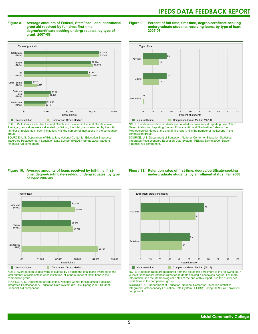**Figure 8. Average amounts of Federal, State/local, and institutional grant aid received by full-time, first-time, degree/certificate-seeking undergraduates, by type of grant: 2007-08**



NOTE: Pell Grants and Other Federal Grants are included in Federal Grants above. Average grant values were calculated by dividing the total grants awarded by the total number of recipients in each institution. N is the number of institutions in the comparison group.

SOURCE: U.S. Department of Education, National Center for Education Statistics, Integrated Postsecondary Education Data System (IPEDS): Spring 2009, Student Financial Aid component.

#### **Figure 9. Percent of full-time, first-time, degree/certificate-seeking undergraduate students receiving loans, by type of loan: 2007-08**



Your institution Comparison Group Median (N=14)

NOTE: For details on how students are counted for financial aid reporting, see Cohort Determination for Reporting Student Financial Aid and Graduation Rates in the Methodological Notes at the end of this report. N is the number of institutions in the comparison group.

SOURCE: U.S. Department of Education, National Center for Education Statistics, Integrated Postsecondary Education Data System (IPEDS): Spring 2009, Student Financial Aid component.

#### **Figure 10. Average amounts of loans received by full-time, firsttime, degree/certificate-seeking undergraduates, by type of loan: 2007-08**



NOTE: Average loan values were calculated by dividing the total loans awarded by the total number of recipients in each institution. N is the number of institutions in the comparison group.

SOURCE: U.S. Department of Education, National Center for Education Statistics, Integrated Postsecondary Education Data System (IPEDS): Spring 2009, Student Financial Aid component.

#### **Figure 11. Retention rates of first-time, degree/certificate-seeking undergraduate students, by enrollment status: Fall 2008**



NOTE: Retention rates are measured from the fall of first enrollment to the following fall. 4 yr institutions report retention rates for students seeking a bachelor's degree. For more information, see the Methodological Notes at the end of this report. N is the number of institutions in the comparison group.

SOURCE: U.S. Department of Education, National Center for Education Statistics, Integrated Postsecondary Education Data System (IPEDS): Spring 2009, Fall Enrollment component.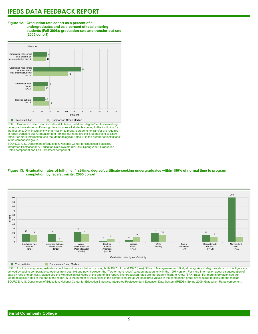#### **Figure 12. Graduation rate cohort as a percent of all undergraduates and as a percent of total entering students (Fall 2008); graduation rate and transfer-out rate (2005 cohort)**



NOTE: Graduation rate cohort includes all full-time, first-time, degree/certificate-seeking undergraduate students. Entering class includes all students coming to the institution for the first time. Only institutions with a mission to prepare students to transfer are required to report transfers out. Graduation and transfer-out rates are the Student Right-to-Know rates. For more information, see the Methodological Notes. N is the number of institutions in the comparison group.

SOURCE: U.S. Department of Education, National Center for Education Statistics, Integrated Postsecondary Education Data System (IPEDS): Spring 2009, Graduation Rates component and Fall Enrollment component.





**The Comparison Group Median** 

NOTE: For this survey year, institutions could report race and ethnicity using both 1977 (old) and 1997 (new) Office of Management and Budget categories. Categories shown in this figure are derived by adding comparable categories from both old and new; however, the "Two or more races" category appears only in the 1997 version. For more information about disaggregation of data by race and ethnicity, please see the Methodological Notes at the end of this report. The graduation rates are the Student Right-to-Know (SRK) rates. For more information see the Methodological Notes at the end of the report. N is the number of institutions in the comparison group. At least three values in the comparison group are required to calculate the median. SOURCE: U.S. Department of Education, National Center for Education Statistics, Integrated Postsecondary Education Data System (IPEDS): Spring 2009, Graduation Rates component.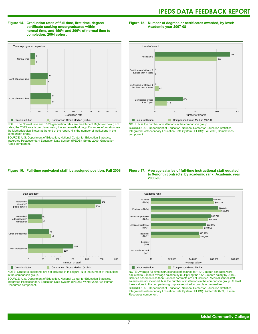#### **Figure 14. Graduation rates of full-time, first-time, degree/ certificate-seeking undergraduates within normal time, and 150% and 200% of normal time to completion: 2004 cohort**

**Figure 15. Number of degrees or certificates awarded, by level: Academic year 2007-08**



NOTE: The Normal time and 150% graduation rates are the Student Right-to-Know (SRK) rates; the 200% rate is calculated using the same methodology. For more information see the Methodological Notes at the end of the report. N is the number of institutions in the comparison group.

SOURCE: U.S. Department of Education, National Center for Education Statistics, Integrated Postsecondary Education Data System (IPEDS): Spring 2009, Graduation Rates component.



NOTE: N is the number of institutions in the comparison group.

SOURCE: U.S. Department of Education, National Center for Education Statistics, Integrated Postsecondary Education Data System (IPEDS): Fall 2008, Completions component.

#### **Figure 16. Full-time equivalent staff, by assigned position: Fall 2008**



NOTE: Graduate assistants are not included in this figure. N is the number of institutions in the comparison group.

SOURCE: U.S. Department of Education, National Center for Education Statistics, Integrated Postsecondary Education Data System (IPEDS): Winter 2008-09, Human Resources component.

#### **Figure 17. Average salaries of full-time instructional staff equated to 9-month contracts, by academic rank: Academic year 2008-09**



NOTE: Average full-time instructional staff salaries for 11/12-month contracts were adjusted to 9-month average salaries by multiplying the 11/12-month salary by .8182. Salaries based on less than 9-month contracts are not included. Medical school staff salaries are not included. N is the number of institutions in the comparison group. At least three values in the comparison group are required to calculate the median. SOURCE: U.S. Department of Education, National Center for Education Statistics, Integrated Postsecondary Education Data System (IPEDS): Winter 2008-09, Human Resources component.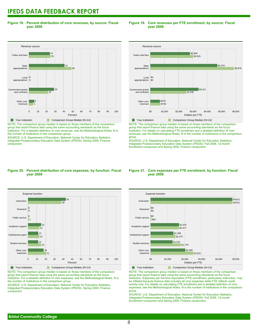**Figure 18. Percent distribution of core revenues, by source: Fiscal year 2008**

#### Revenue source 0 10 20 30 40 50 60 70 80 90 100 Percent Other core revenues Government grants<br>and contracts ...........<br>and cont Local appropriations **State** appropriations Tuition and fees 5 6 22 29 0 0 49 41  $25$ 24 Your institution Comparison Group Median (N=14)

NOTE: The comparison group median is based on those members of the comparison group that report finance data using the same accounting standards as the focus institution. For a detailed definition of core revenues, see the Methodological Notes. N is the number of institutions in the comparison group.

SOURCE: U.S. Department of Education, National Center for Education Statistics, Integrated Postsecondary Education Data System (IPEDS): Spring 2009, Finance component.

## **Figure 19. Core revenues per FTE enrollment, by source: Fiscal year 2008**



NOTE: The comparison group median is based on those members of the comparison group that report finance data using the same accounting standards as the focus institution. For details on calculating FTE enrollment and a detailed definition of core revenues, see the Methodological Notes. N is the number of institutions in the comparison group.

SOURCE: U.S. Department of Education, National Center for Education Statistics, Integrated Postsecondary Education Data System (IPEDS): Fall 2008, 12-month Enrollment component and Spring 2009, Finance component.

#### **Figure 20. Percent distribution of core expenses, by function: Fiscal year 2008**



NOTE: The comparison group median is based on those members of the comparison group that report finance data using the same accounting standards as the focus institution. For a detailed definition of core expenses, see the Methodological Notes. N is the number of institutions in the comparison group.

SOURCE: U.S. Department of Education, National Center for Education Statistics, Integrated Postsecondary Education Data System (IPEDS): Spring 2009, Finance component.

#### **Figure 21. Core expenses per FTE enrollment, by function: Fiscal year 2008**



NOTE: The comparison group median is based on those members of the comparison group that report finance data using the same accounting standards as the focus institution. Expenses per full-time equivalent (FTE) enrollment, particularly instruction, may be inflated because finance data includes all core expenses while FTE reflects credit activity only. For details on calculating FTE enrollment and a detailed definition of core expenses, see the Methodological Notes. N is the number of institutions in the comparison group.

SOURCE: U.S. Department of Education, National Center for Education Statistics, Integrated Postsecondary Education Data System (IPEDS): Fall 2008, 12-month Enrollment component and Spring 2009, Finance component.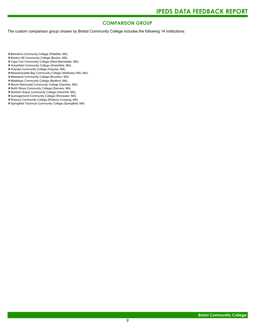# **COMPARISON GROUP**

The custom comparison group chosen by Bristol Community College includes the following 14 institutions:

- Berkshire Community College (Pittsfield, MA)
- Bunker Hill Community College (Boston, MA)
- Cape Cod Community College (West Barnstable, MA) Greenfield Community College (Greenfield, MA)
- Holyoke Community College (Holyoke, MA)
- Massachusetts Bay Community College (Wellesley Hills, MA)
- Massasoit Community College (Brockton, MA)
- Middlesex Community College (Bedford, MA)
- Mount Wachusett Community College (Gardner, MA)
- North Shore Community College (Danvers, MA)
- Northern Essex Community College (Haverhill, MA)
- Quinsigamond Community College (Worcester, MA)
- Roxbury Community College (Roxbury Crossing, MA)
- Springfield Technical Community College (Springfield, MA)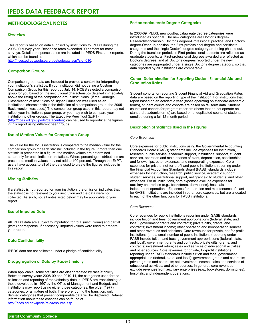# **METHODOLOGICAL NOTES**

#### **Overview**

This report is based on data supplied by institutions to IPEDS during the 2008-09 survey year. Response rates exceeded 99 percent for most surveys. Detailed response tables are included in IPEDS First Look reports, which can be found at [http://nces.ed.gov/pubsearch/getpubcats.asp?sid=010.](http://nces.ed.gov/pubsearch/getpubcats.asp?sid=010)

## **Comparison Groups**

Comparison group data are included to provide a context for interpreting your institution's statistics. If your institution did not define a Custom Comparison Group for this report by July 14, NCES selected a comparison group for you based on the institutional characteristics detailed immediately above the listing of the comparison group institutions. (If the Carnegie Classification of Institutions of Higher Education was used as an institutional characteristic in the definition of a comparison group, the 2005 Basic version was used.) The comparison group used in this report may not reflect your institution's peer group, or you may wish to compare your institution to other groups. The Executive Peer Tool (ExPT) (<http://nces.ed.gov/ipeds/datacenter/>) can be used to reproduce the figures in this report using different peer groups.

## **Use of Median Values for Comparison Group**

The value for the focus institution is compared to the median value for the comparison group for each statistic included in the figure. If more than one statistic is presented in a figure, the median values are determined separately for each indicator or statistic. Where percentage distributions are presented, median values may not add to 100 percent. Through the ExPT, users have access to all of the data used to create the figures included in this report.

# **Missing Statistics**

If a statistic is not reported for your institution, the omission indicates that the statistic is not relevant to your institution and the data were not collected. As such, not all notes listed below may be applicable to your report.

#### **Use of Imputed Data**

All IPEDS data are subject to imputation for total (institutional) and partial (item) nonresponse. If necessary, imputed values were used to prepare your report.

#### **Data Confidentiality**

IPEDS data are not collected under a pledge of confidentiality.

#### **Disaggregation of Data by Race/Ethnicity**

When applicable, some statistics are disaggregated by race/ethnicity. Between survey years 2008-09 and 2010-11, the categories used for the collection and reporting of race/ethnicity data in IPEDS are transitioning to those developed in 1997 by the Office of Management and Budget, and institutions may report using either those categories, the older (1977) categories, or a mixture of both. Therefore, during the transition, only derived categories that present comparable data will be displayed. Detailed information about these changes can be found at <http://nces.ed.gov/ipeds/reic/resource.asp>.

#### **Postbaccalaureate Degree Categories**

In 2008-09 IPEDS, new postbaccalaureate degree categories were introduced as optional. The new categories are Doctor's degree-Research/scholarship, Doctor's degree-Professional practice, and Doctor's degree-Other. In addition, the First-professional degree and certificate categories and the single Doctor's degree category are being phased out. During the transition period, all First-professional students are reflected as graduate students, all First-professional degrees awarded are reflected as Doctor's degrees, and all Doctor's degrees reported under the new categories are aggregated under a single Doctor's degree category, so that data reported by all institutions are comparable.

### **Cohort Determination for Reporting Student Financial Aid and Graduation Rates**

Student cohorts for reporting Student Financial Aid and Graduation Rates data are based on the reporting type of the institution. For institutions that report based on an academic year (those operating on standard academic terms), student counts and cohorts are based on fall term data. Student counts and cohorts for program reporters (those that do not operate on standard academic terms) are based on unduplicated counts of students enrolled during a full 12-month period.

#### **Description of Statistics Used in the Figures**

#### *Core Expenses*

Core expenses for public institutions using the Governmental Accounting Standards Board (GASB) standards include expenses for instruction, research, public service, academic support, institutional support, student services, operation and maintenance of plant, depreciation, scholarships and fellowships, other expenses, and nonoperating expenses. Core expenses for private, not-for-profit and public institutions reporting under the Financial Accounting Standards Board (FASB) standards include expenses for instruction, research, public service, academic support, student services, institutional support, net grant aid to students, and other expenses. For all institutions, core expenses exclude expenses for auxiliary enterprises (e.g., bookstores, dormitories), hospitals, and independent operations. Expenses for operation and maintenance of plant for GASB institutions are included in other core expenses, but are allocated to each of the other functions for FASB institutions.

#### *Core Revenues*

Core revenues for public institutions reporting under GASB standards include tuition and fees; government appropriations (federal, state, and local); government grants and contracts; private gifts, grants, and contracts; investment income; other operating and nonoperating sources; and other revenues and additions. Core revenues for private, not-for-profit institutions (and a small number of public institutions) reporting under FASB include tuition and fees; government appropriations (federal, state, and local); government grants and contracts; private gifts, grants, and contracts; investment return; sales and services of educational activities; and other sources. Core revenues for private, for-profit institutions reporting under FASB standards include tuition and fees; government appropriations (federal, state, and local); government grants and contracts; private grants and contracts; net investment income; sales and services of educational activities; and other sources. In general, core revenues exclude revenues from auxiliary enterprises (e.g., bookstores, dormitories), hospitals, and independent operations.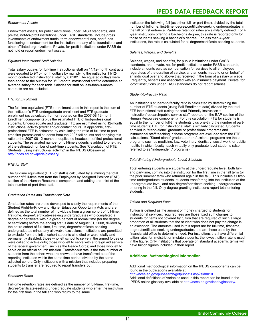#### *Endowment Assets*

Endowment assets, for public institutions under GASB standards, and private, not-for-profit institutions under FASB standards, include gross investments of endowment funds, term endowment funds, and funds functioning as endowment for the institution and any of its foundations and other affiliated organizations. Private, for-profit institutions under FASB do not hold or report endowment assets.

#### *Equated Instructional Staff Salaries*

Total salary outlays for full-time instructional staff on 11/12-month contracts were equated to 9/10-month outlays by multiplying the outlay for 11/12 month contracted instructional staff by 0.8182. The equated outlays were then added to the outlays for 9/10-month instructional staff to determine an average salary for each rank. Salaries for staff on less-than-9-month contracts are not included.

#### *FTE for Enrollment*

The full-time equivalent (FTE) enrollment used in this report is the sum of the institution's FTE undergraduate enrollment and FTE graduate enrollment (as calculated from or reported on the 2007-08 12-month Enrollment component) plus the estimated FTE of first-professional students. Undergraduate and graduate FTE are estimated using 12-month instructional activity (credit and/or contact hours). If applicable, firstprofessional FTE is estimated by calculating the ratio of full-time to parttime first-professional students from the 2007 fall counts and applying this ratio to the 2007-08 12-month unduplicated headcount of first-professional students. The estimated number of full-time students is added to one-third of the estimated number of part-time students. See "Calculation of FTE Students (using instructional activity)" in the IPEDS Glossary at <http://nces.ed.gov/ipeds/glossary/>.

#### *FTE for Staff*

The full-time equivalent (FTE) of staff is calculated by summing the total number of full-time staff from the Employees by Assigned Position (EAP) section of the Human Resources component and adding one-third of the total number of part-time staff.

#### *Graduation Rates and Transfer-out Rate*

Graduation rates are those developed to satisfy the requirements of the Student Right-to-Know and Higher Education Opportunity Acts and are defined as the total number of individuals from a given cohort of full-time, first-time, degree/certificate-seeking undergraduates who completed a degree or certificate within a given percent of normal time (for the degree or certificate) before the ending status date of August 31, 2008, divided by the entire cohort of full-time, first-time, degree/certificate-seeking undergraduates minus any allowable exclusions. Institutions are permitted to exclude from the initial cohort students who died or were totally and permanently disabled; those who left school to serve in the armed forces or were called to active duty; those who left to serve with a foreign aid service of the federal government, such as the Peace Corps; and those who left to serve on an official church mission. Transfer-out rate is the total number of students from the cohort who are known to have transferred out of the reporting institution within the same time period, divided by the same adjusted cohort. Only institutions with a mission that includes preparing students to transfer are required to report transfers out.

#### *Retention Rates*

Full-time retention rates are defined as the number of full-time, first-time, degree/certificate-seeking undergraduate students who enter the institution for the first time in the fall and who return to the same

# **IPEDS DATA FEEDBACK REPORT**

institution the following fall (as either full- or part-time), divided by the total number of full-time, first-time, degree/certificate-seeking undergraduates in the fall of first entrance. Part-time retention rates are similarly defined. For 4 -year institutions offering a bachelor's degree, this rate is reported only for those students seeking a bachelor's degree. For less than 4-year institutions, the rate is calculated for all degree/certificate-seeking students.

#### *Salaries, Wages, and Benefits*

Salaries, wages, and benefits, for public institutions under GASB standards, and private, not-for-profit institutions under FASB standards, include amounts paid as compensation for services to all employees regardless of the duration of service, and amounts made to or on behalf of an individual over and above that received in the form of a salary or wage. Frequently, benefits are associated with an insurance payment. Private, for -profit institutions under FASB standards do not report salaries.

#### *Student-to-Faculty Ratio*

An institution's student-to-faculty ratio is calculated by determining the number of FTE students (using Fall Enrollment data) divided by the total FTE instructional staff (using the total Primarily instruction + Instruction/research/public service staff reported on the EAP section of the Human Resources component). For this calculation, FTE for students is equal to the number of full-time students plus one-third the number of parttime students; FTE for instructional staff is similarly calculated. Students enrolled in "stand-alone" graduate or professional programs and instructional staff teaching in these programs are excluded from the FTE calculations. "Stand-alone" graduate or professional programs are those programs such as medicine, law, veterinary, dentistry, social work, or public health, in which faculty teach virtually only graduate-level students (also referred to as "independent" programs).

#### *Total Entering (Undergraduate-Level) Students*

Total entering students are students at the undergraduate level, both fulland part-time, coming into the institution for the first time in the fall term (or the prior summer term who returned again in the fall). This includes all firsttime undergraduate students, students transferring into the institution at the undergraduate level, and non-degree/certificate seeking undergraduates entering in the fall. Only degree-granting institutions report total entering students.

#### *Tuition and Required Fees*

Tuition is defined as the amount of money charged to students for instructional services; required fees are those fixed sum charges to students for items not covered by tuition that are required of such a large proportion of all students that the student who does not pay the charge is an exception. The amounts used in this report are for full-time, first-time, degree/certificate-seeking undergraduates and are those used by the financial aid office to determine need. For institutions that have differential tuition rates for in-district or in-state students, the lowest tuition rate is used in the figure. Only institutions that operate on standard academic terms will have tuition figures included in their report.

#### **Additional Methodological Information**

Additional methodological information on the IPEDS components can be found in the publications available at <http://nces.ed.gov/pubsearch/getpubcats.asp?sid=010>.

Additional definitions of variables used in this report can be found in the IPEDS online glossary available at <http://nces.ed.gov/ipeds/glossary/>.